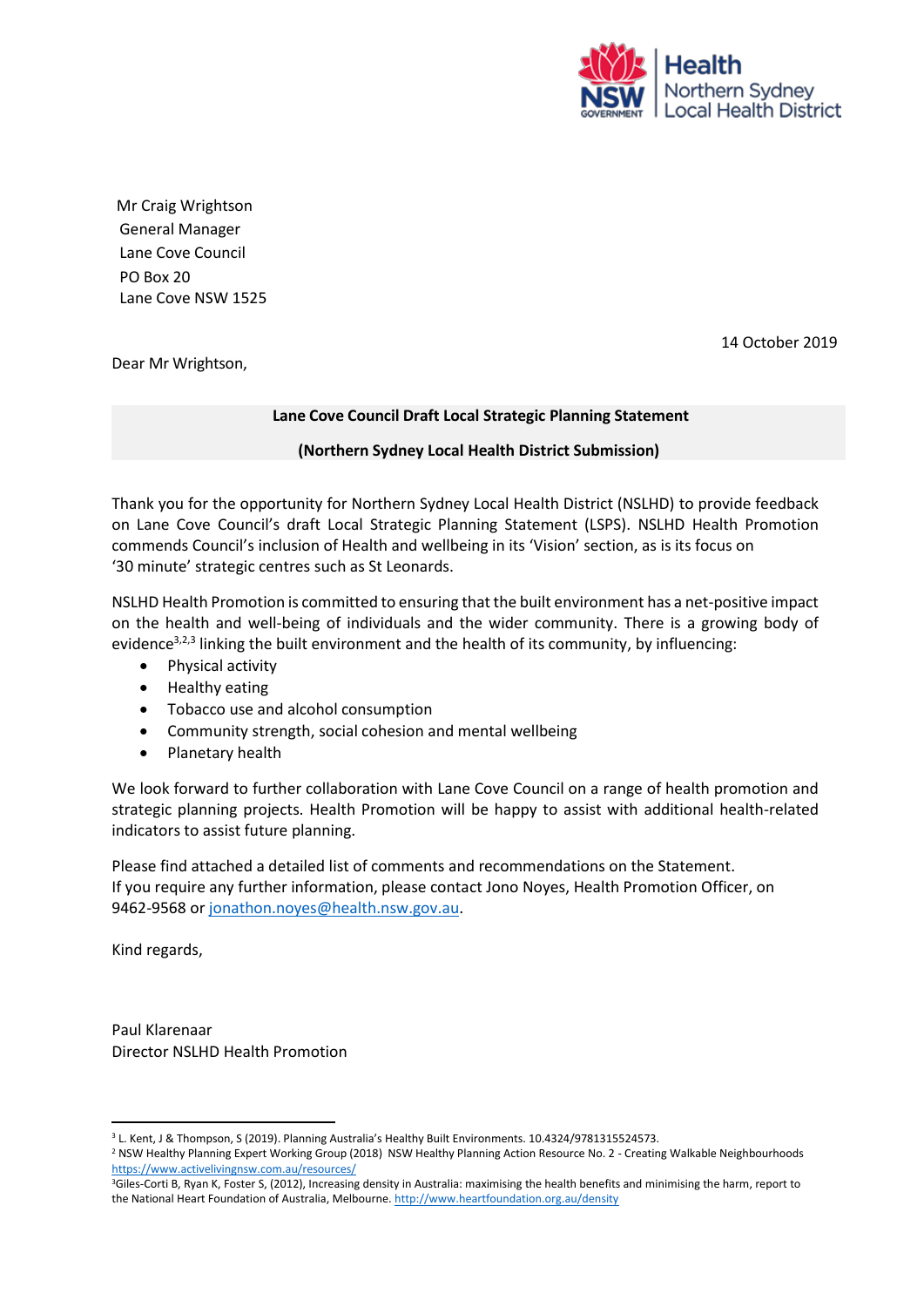

Mr Craig Wrightson General Manager Lane Cove Council PO Box 20 Lane Cove NSW 1525

14 October 2019

Dear Mr Wrightson,

### **Lane Cove Council Draft Local Strategic Planning Statement**

### **(Northern Sydney Local Health District Submission)**

Thank you for the opportunity for Northern Sydney Local Health District (NSLHD) to provide feedback on Lane Cove Council's draft Local Strategic Planning Statement (LSPS). NSLHD Health Promotion commends Council's inclusion of Health and wellbeing in its 'Vision' section, as is its focus on '30 minute' strategic centres such as St Leonards.

NSLHD Health Promotion is committed to ensuring that the built environment has a net‐positive impact on the health and well-being of individuals and the wider community. There is a growing body of evidence $3,2,3$  linking the built environment and the health of its community, by influencing:

- Physical activity
- Healthy eating
- Tobacco use and alcohol consumption
- Community strength, social cohesion and mental wellbeing
- Planetary health

We look forward to further collaboration with Lane Cove Council on a range of health promotion and strategic planning projects. Health Promotion will be happy to assist with additional health-related indicators to assist future planning.

Please find attached a detailed list of comments and recommendations on the Statement. If you require any further information, please contact Jono Noyes, Health Promotion Officer, on 9462-9568 o[r jonathon.noyes@health.nsw.gov.au.](mailto:jonathon.noyes@health.nsw.gov.au)

Kind regards,

1

Paul Klarenaar Director NSLHD Health Promotion

<sup>&</sup>lt;sup>3</sup> L. Kent, J & Thompson, S (2019). Planning Australia's Healthy Built Environments. 10.4324/9781315524573.

<sup>2</sup> NSW Healthy Planning Expert Working Group (2018) NSW Healthy Planning Action Resource No. 2 - Creating Walkable Neighbourhoods <https://www.activelivingnsw.com.au/resources/>

<sup>&</sup>lt;sup>3</sup>Giles-Corti B, Ryan K, Foster S, (2012), Increasing density in Australia: maximising the health benefits and minimising the harm, report to the National Heart Foundation of Australia, Melbourne[. http://www.heartfoundation.org.au/density](http://www.heartfoundation.org.au/density)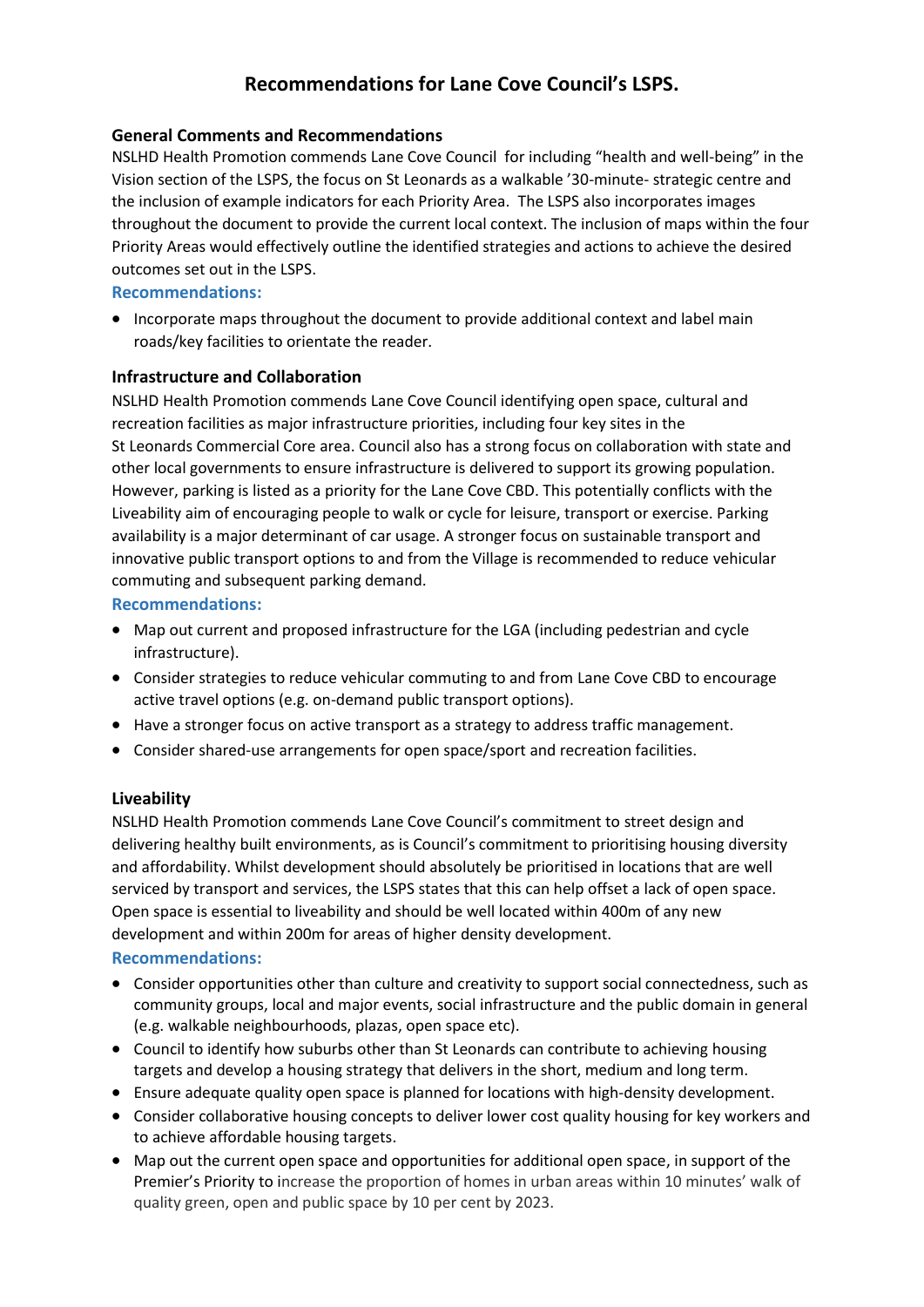# **Recommendations for Lane Cove Council's LSPS.**

## **General Comments and Recommendations**

NSLHD Health Promotion commends Lane Cove Council for including "health and well-being" in the Vision section of the LSPS, the focus on St Leonards as a walkable '30-minute- strategic centre and the inclusion of example indicators for each Priority Area. The LSPS also incorporates images throughout the document to provide the current local context. The inclusion of maps within the four Priority Areas would effectively outline the identified strategies and actions to achieve the desired outcomes set out in the LSPS.

### **Recommendations:**

• Incorporate maps throughout the document to provide additional context and label main roads/key facilities to orientate the reader.

### **Infrastructure and Collaboration**

NSLHD Health Promotion commends Lane Cove Council identifying open space, cultural and recreation facilities as major infrastructure priorities, including four key sites in the St Leonards Commercial Core area. Council also has a strong focus on collaboration with state and other local governments to ensure infrastructure is delivered to support its growing population. However, parking is listed as a priority for the Lane Cove CBD. This potentially conflicts with the Liveability aim of encouraging people to walk or cycle for leisure, transport or exercise. Parking availability is a major determinant of car usage. A stronger focus on sustainable transport and innovative public transport options to and from the Village is recommended to reduce vehicular commuting and subsequent parking demand.

### **Recommendations:**

- Map out current and proposed infrastructure for the LGA (including pedestrian and cycle infrastructure).
- Consider strategies to reduce vehicular commuting to and from Lane Cove CBD to encourage active travel options (e.g. on-demand public transport options).
- Have a stronger focus on active transport as a strategy to address traffic management.
- Consider shared-use arrangements for open space/sport and recreation facilities.

## **Liveability**

NSLHD Health Promotion commends Lane Cove Council's commitment to street design and delivering healthy built environments, as is Council's commitment to prioritising housing diversity and affordability. Whilst development should absolutely be prioritised in locations that are well serviced by transport and services, the LSPS states that this can help offset a lack of open space. Open space is essential to liveability and should be well located within 400m of any new development and within 200m for areas of higher density development.

#### **Recommendations:**

- Consider opportunities other than culture and creativity to support social connectedness, such as community groups, local and major events, social infrastructure and the public domain in general (e.g. walkable neighbourhoods, plazas, open space etc).
- Council to identify how suburbs other than St Leonards can contribute to achieving housing targets and develop a housing strategy that delivers in the short, medium and long term.
- Ensure adequate quality open space is planned for locations with high-density development.
- Consider collaborative housing concepts to deliver lower cost quality housing for key workers and to achieve affordable housing targets.
- Map out the current open space and opportunities for additional open space, in support of the Premier's Priority to increase the proportion of homes in urban areas within 10 minutes' walk of quality green, open and public space by 10 per cent by 2023.